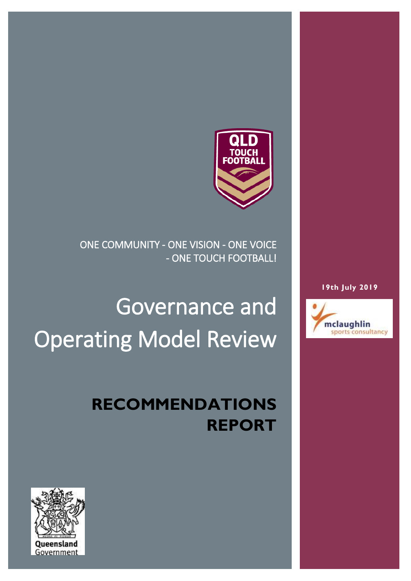

ONE COMMUNITY - ONE VISION - ONE VOICE - ONE TOUCH FOOTBALL!

# Governance and Operating Model Review

### **RECOMMENDATIONS REPORT**



#### **19th July 2019**

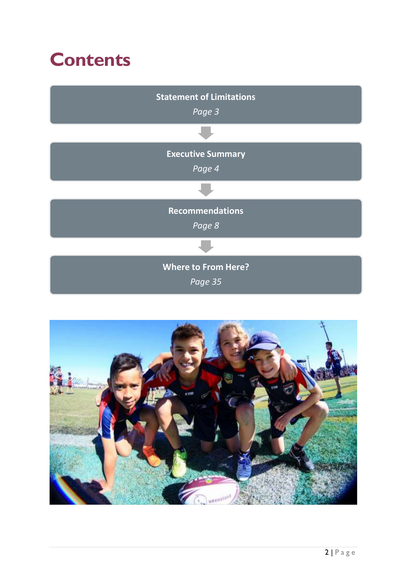### **Contents**



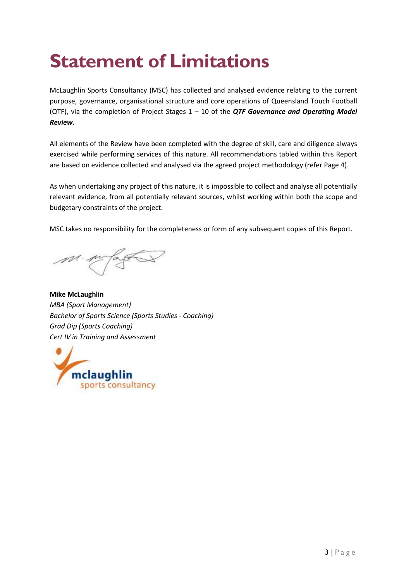# **Statement of Limitations**

McLaughlin Sports Consultancy (MSC) has collected and analysed evidence relating to the current purpose, governance, organisational structure and core operations of Queensland Touch Football (QTF), via the completion of Project Stages 1 – 10 of the *QTF Governance and Operating Model Review.*

All elements of the Review have been completed with the degree of skill, care and diligence always exercised while performing services of this nature. All recommendations tabled within this Report are based on evidence collected and analysed via the agreed project methodology (refer Page 4).

As when undertaking any project of this nature, it is impossible to collect and analyse all potentially relevant evidence, from all potentially relevant sources, whilst working within both the scope and budgetary constraints of the project.

MSC takes no responsibility for the completeness or form of any subsequent copies of this Report.

**Mike McLaughlin** *MBA (Sport Management) Bachelor of Sports Science (Sports Studies - Coaching) Grad Dip (Sports Coaching) Cert IV in Training and Assessment*

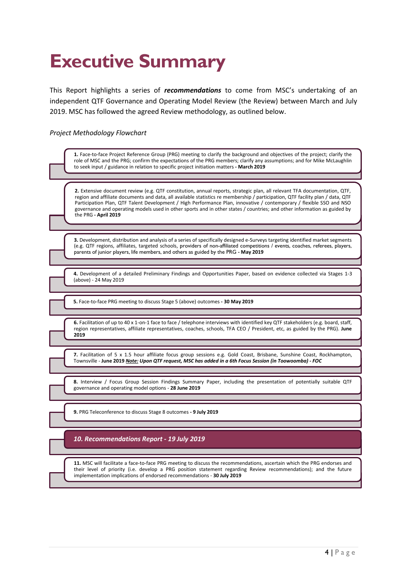## **Executive Summary**

This Report highlights a series of *recommendations* to come from MSC's undertaking of an independent QTF Governance and Operating Model Review (the Review) between March and July 2019. MSC has followed the agreed Review methodology, as outlined below.

#### *Project Methodology Flowchart*

| 1. Face-to-face Project Reference Group (PRG) meeting to clarify the background and objectives of the project; clarify the<br>role of MSC and the PRG; confirm the expectations of the PRG members; clarify any assumptions; and for Mike McLaughlin<br>to seek input / guidance in relation to specific project initiation matters - March 2019                                                                                                                                                                                        |
|-----------------------------------------------------------------------------------------------------------------------------------------------------------------------------------------------------------------------------------------------------------------------------------------------------------------------------------------------------------------------------------------------------------------------------------------------------------------------------------------------------------------------------------------|
|                                                                                                                                                                                                                                                                                                                                                                                                                                                                                                                                         |
| 2. Extensive document review (e.g. QTF constitution, annual reports, strategic plan, all relevant TFA documentation, QTF,<br>region and affiliate documents and data, all available statistics re membership / participation, QTF facility plan / data, QTF<br>Participation Plan, QTF Talent Development / High Performance Plan, innovative / contemporary / flexible SSO and NSO<br>governance and operating models used in other sports and in other states / countries; and other information as guided by<br>the PRG - April 2019 |
|                                                                                                                                                                                                                                                                                                                                                                                                                                                                                                                                         |
| 3. Development, distribution and analysis of a series of specifically designed e-Surveys targeting identified market segments<br>(e.g. QTF regions, affiliates, targeted schools, providers of non-affiliated competitions / events, coaches, referees, players,<br>parents of junior players, life members, and others as guided by the PRG - May 2019                                                                                                                                                                                 |
|                                                                                                                                                                                                                                                                                                                                                                                                                                                                                                                                         |
| 4. Development of a detailed Preliminary Findings and Opportunities Paper, based on evidence collected via Stages 1-3<br>(above) - 24 May 2019                                                                                                                                                                                                                                                                                                                                                                                          |
|                                                                                                                                                                                                                                                                                                                                                                                                                                                                                                                                         |
| 5. Face-to-face PRG meeting to discuss Stage 5 (above) outcomes - 30 May 2019                                                                                                                                                                                                                                                                                                                                                                                                                                                           |
| 6. Facilitation of up to 40 x 1-on-1 face to face / telephone interviews with identified key QTF stakeholders (e.g. board, staff,<br>region representatives, affiliate representatives, coaches, schools, TFA CEO / President, etc, as guided by the PRG). June<br>2019                                                                                                                                                                                                                                                                 |
|                                                                                                                                                                                                                                                                                                                                                                                                                                                                                                                                         |
| 7. Facilitation of 5 x 1.5 hour affiliate focus group sessions e.g. Gold Coast, Brisbane, Sunshine Coast, Rockhampton,<br>Townsville - June 2019 Note: Upon QTF request, MSC has added in a 6th Focus Session (in Toowoomba) - FOC                                                                                                                                                                                                                                                                                                      |
|                                                                                                                                                                                                                                                                                                                                                                                                                                                                                                                                         |
| 8. Interview / Focus Group Session Findings Summary Paper, including the presentation of potentially suitable QTF<br>governance and operating model options - 28 June 2019                                                                                                                                                                                                                                                                                                                                                              |
|                                                                                                                                                                                                                                                                                                                                                                                                                                                                                                                                         |
| 9. PRG Teleconference to discuss Stage 8 outcomes - 9 July 2019                                                                                                                                                                                                                                                                                                                                                                                                                                                                         |
|                                                                                                                                                                                                                                                                                                                                                                                                                                                                                                                                         |
| 10. Recommendations Report - 19 July 2019                                                                                                                                                                                                                                                                                                                                                                                                                                                                                               |
|                                                                                                                                                                                                                                                                                                                                                                                                                                                                                                                                         |
| 11. MSC will facilitate a face-to-face PRG meeting to discuss the recommendations, ascertain which the PRG endorses and<br>their level of priority (i.e. develop a PRG position statement regarding Review recommendations); and the future<br>implementation implications of endorsed recommendations - 30 July 2019                                                                                                                                                                                                                   |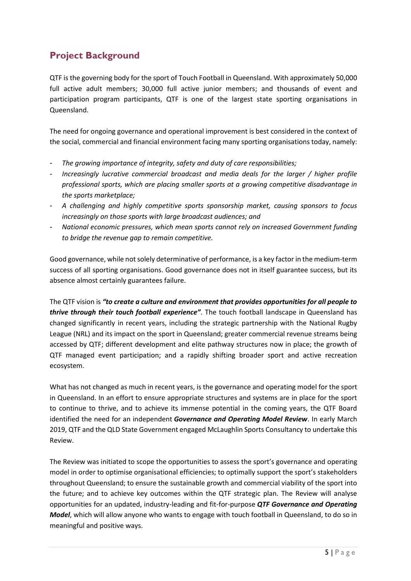#### **Project Background**

QTF is the governing body for the sport of Touch Football in Queensland. With approximately 50,000 full active adult members; 30,000 full active junior members; and thousands of event and participation program participants, QTF is one of the largest state sporting organisations in Queensland.

The need for ongoing governance and operational improvement is best considered in the context of the social, commercial and financial environment facing many sporting organisations today, namely:

- *The growing importance of integrity, safety and duty of care responsibilities;*
- *Increasingly lucrative commercial broadcast and media deals for the larger / higher profile professional sports, which are placing smaller sports at a growing competitive disadvantage in the sports marketplace;*
- *A challenging and highly competitive sports sponsorship market, causing sponsors to focus increasingly on those sports with large broadcast audiences; and*
- *National economic pressures, which mean sports cannot rely on increased Government funding to bridge the revenue gap to remain competitive.*

Good governance, while not solely determinative of performance, is a key factor in the medium-term success of all sporting organisations. Good governance does not in itself guarantee success, but its absence almost certainly guarantees failure.

The QTF vision is *"to create a culture and environment that provides opportunities for all people to thrive through their touch football experience"*. The touch football landscape in Queensland has changed significantly in recent years, including the strategic partnership with the National Rugby League (NRL) and its impact on the sport in Queensland; greater commercial revenue streams being accessed by QTF; different development and elite pathway structures now in place; the growth of QTF managed event participation; and a rapidly shifting broader sport and active recreation ecosystem.

What has not changed as much in recent years, is the governance and operating model for the sport in Queensland. In an effort to ensure appropriate structures and systems are in place for the sport to continue to thrive, and to achieve its immense potential in the coming years, the QTF Board identified the need for an independent *Governance and Operating Model Review*. In early March 2019, QTF and the QLD State Government engaged McLaughlin Sports Consultancy to undertake this Review.

The Review was initiated to scope the opportunities to assess the sport's governance and operating model in order to optimise organisational efficiencies; to optimally support the sport's stakeholders throughout Queensland; to ensure the sustainable growth and commercial viability of the sport into the future; and to achieve key outcomes within the QTF strategic plan. The Review will analyse opportunities for an updated, industry-leading and fit-for-purpose *QTF Governance and Operating Model*, which will allow anyone who wants to engage with touch football in Queensland, to do so in meaningful and positive ways.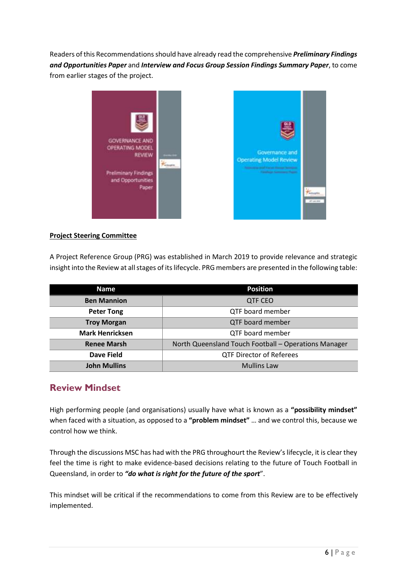Readers of this Recommendations should have already read the comprehensive *Preliminary Findings and Opportunities Paper* and *Interview and Focus Group Session Findings Summary Paper*, to come from earlier stages of the project.



#### **Project Steering Committee**

A Project Reference Group (PRG) was established in March 2019 to provide relevance and strategic insight into the Review at all stages of its lifecycle. PRG members are presented in the following table:

| <b>Name</b>            | <b>Position</b>                                      |  |  |
|------------------------|------------------------------------------------------|--|--|
| <b>Ben Mannion</b>     | <b>QTF CEO</b>                                       |  |  |
| <b>Peter Tong</b>      | QTF board member                                     |  |  |
| <b>Troy Morgan</b>     | QTF board member                                     |  |  |
| <b>Mark Henricksen</b> | QTF board member                                     |  |  |
| <b>Renee Marsh</b>     | North Queensland Touch Football - Operations Manager |  |  |
| Dave Field             | <b>QTF Director of Referees</b>                      |  |  |
| <b>John Mullins</b>    | <b>Mullins Law</b>                                   |  |  |

#### **Review Mindset**

High performing people (and organisations) usually have what is known as a **"possibility mindset"**  when faced with a situation, as opposed to a **"problem mindset"** … and we control this, because we control how we think.

Through the discussions MSC has had with the PRG throughourt the Review's lifecycle, it is clear they feel the time is right to make evidence-based decisions relating to the future of Touch Football in Queensland, in order to *"do what is right for the future of the sport*".

This mindset will be critical if the recommendations to come from this Review are to be effectively implemented.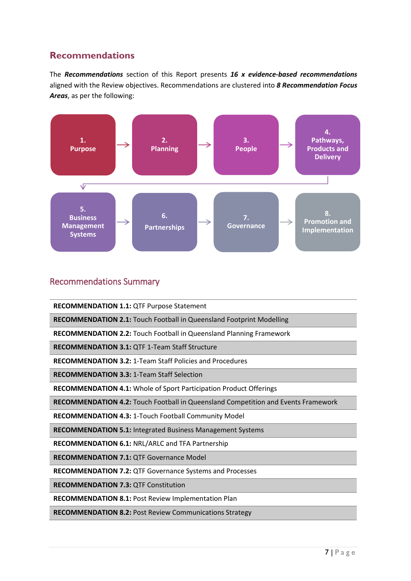#### **Recommendations**

The *Recommendations* section of this Report presents *16 x evidence-based recommendations* aligned with the Review objectives. Recommendations are clustered into *8 Recommendation Focus Areas*, as per the following:



#### Recommendations Summary

**RECOMMENDATION 1.1:** QTF Purpose Statement

**RECOMMENDATION 2.1:** Touch Football in Queensland Footprint Modelling

**RECOMMENDATION 2.2:** Touch Football in Queensland Planning Framework

**RECOMMENDATION 3.1:** QTF 1-Team Staff Structure

**RECOMMENDATION 3.2:** 1-Team Staff Policies and Procedures

**RECOMMENDATION 3.3:** 1-Team Staff Selection

**RECOMMENDATION 4.1:** Whole of Sport Participation Product Offerings

**RECOMMENDATION 4.2:** Touch Football in Queensland Competition and Events Framework

**RECOMMENDATION 4.3:** 1-Touch Football Community Model

**RECOMMENDATION 5.1:** Integrated Business Management Systems

**RECOMMENDATION 6.1:** NRL/ARLC and TFA Partnership

**RECOMMENDATION 7.1:** QTF Governance Model

**RECOMMENDATION 7.2:** QTF Governance Systems and Processes

**RECOMMENDATION 7.3:** QTF Constitution

**RECOMMENDATION 8.1:** Post Review Implementation Plan

**RECOMMENDATION 8.2:** Post Review Communications Strategy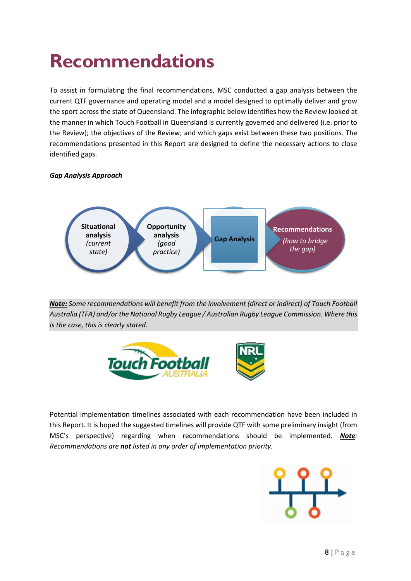## **Recommendations**

To assist in formulating the final recommendations, MSC conducted a gap analysis between the current QTF governance and operating model and a model designed to optimally deliver and grow the sport across the state of Queensland. The infographic below identifies how the Review looked at the manner in which Touch Football in Queensland is currently governed and delivered (i.e. prior to the Review); the objectives of the Review; and which gaps exist between these two positions. The recommendations presented in this Report are designed to define the necessary actions to close identified gaps.

#### *Gap Analysis Approach*



*Note: Some recommendations will benefit from the involvement (direct or indirect) of Touch Football Australia (TFA) and/or the National Rugby League / Australian Rugby League Commission. Where this is the case, this is clearly stated.*



Potential implementation timelines associated with each recommendation have been included in this Report. It is hoped the suggested timelines will provide QTF with some preliminary insight (from MSC's perspective) regarding when recommendations should be implemented. *Note: Recommendations are not listed in any order of implementation priority.*

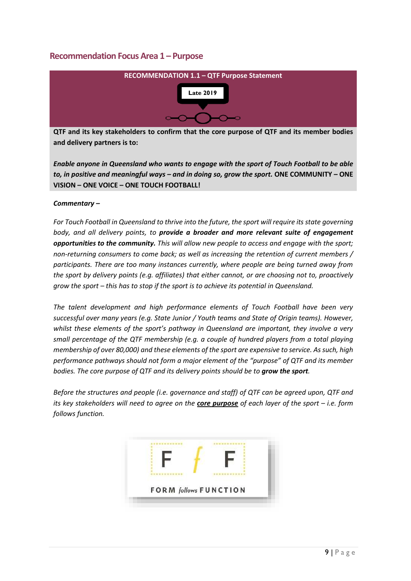#### **Recommendation Focus Area 1 – Purpose**



**QTF and its key stakeholders to confirm that the core purpose of QTF and its member bodies and delivery partners is to:**

*Enable anyone in Queensland who wants to engage with the sport of Touch Football to be able to, in positive and meaningful ways – and in doing so, grow the sport.* **ONE COMMUNITY – ONE VISION – ONE VOICE – ONE TOUCH FOOTBALL!**

#### *Commentary –*

*For Touch Football in Queensland to thrive into the future, the sport will require its state governing body, and all delivery points, to provide a broader and more relevant suite of engagement opportunities to the community. This will allow new people to access and engage with the sport; non-returning consumers to come back; as well as increasing the retention of current members / participants. There are too many instances currently, where people are being turned away from the sport by delivery points (e.g. affiliates) that either cannot, or are choosing not to, proactively grow the sport – this has to stop if the sport is to achieve its potential in Queensland.*

*The talent development and high performance elements of Touch Football have been very successful over many years (e.g. State Junior / Youth teams and State of Origin teams). However, whilst these elements of the sport's pathway in Queensland are important, they involve a very small percentage of the QTF membership (e.g. a couple of hundred players from a total playing membership of over 80,000) and these elements of the sport are expensive to service. As such, high performance pathways should not form a major element of the "purpose" of QTF and its member bodies. The core purpose of QTF and its delivery points should be to grow the sport.*

*Before the structures and people (i.e. governance and staff) of QTF can be agreed upon, QTF and its key stakeholders will need to agree on the core purpose of each layer of the sport – i.e. form follows function.*

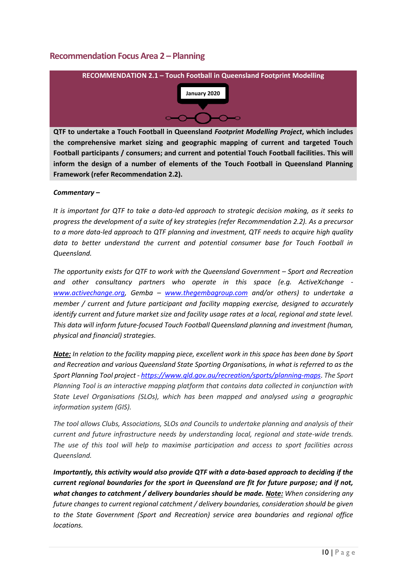#### **Recommendation Focus Area 2 – Planning**



**QTF to undertake a Touch Football in Queensland** *Footprint Modelling Project***, which includes the comprehensive market sizing and geographic mapping of current and targeted Touch Football participants / consumers; and current and potential Touch Football facilities. This will inform the design of a number of elements of the Touch Football in Queensland Planning Framework (refer Recommendation 2.2).**

#### *Commentary –*

*It is important for QTF to take a data-led approach to strategic decision making, as it seeks to progress the development of a suite of key strategies (refer Recommendation 2.2). As a precursor to a more data-led approach to QTF planning and investment, QTF needs to acquire high quality data to better understand the current and potential consumer base for Touch Football in Queensland.*

*The opportunity exists for QTF to work with the Queensland Government – Sport and Recreation and other consultancy partners who operate in this space (e.g. ActiveXchange [www.activechange.org,](http://www.activechange.org/) Gemba – [www.thegembagroup.com](http://www.thegembagroup.com/) and/or others) to undertake a member / current and future participant and facility mapping exercise, designed to accurately identify current and future market size and facility usage rates at a local, regional and state level. This data will inform future-focused Touch Football Queensland planning and investment (human, physical and financial) strategies.*

*Note: In relation to the facility mapping piece, excellent work in this space has been done by Sport and Recreation and various Queensland State Sporting Organisations, in what is referred to as the Sport Planning Tool project - <https://www.qld.gov.au/recreation/sports/planning-maps>*. *The Sport Planning Tool is an interactive mapping platform that contains data collected in conjunction with State Level Organisations (SLOs), which has been mapped and analysed using a geographic information system (GIS).*

*The tool allows Clubs, Associations, SLOs and Councils to undertake planning and analysis of their current and future infrastructure needs by understanding local, regional and state-wide trends. The use of this tool will help to maximise participation and access to sport facilities across Queensland.*

*Importantly, this activity would also provide QTF with a data-based approach to deciding if the current regional boundaries for the sport in Queensland are fit for future purpose; and if not, what changes to catchment / delivery boundaries should be made. Note: When considering any future changes to current regional catchment / delivery boundaries, consideration should be given to the State Government (Sport and Recreation) service area boundaries and regional office locations.*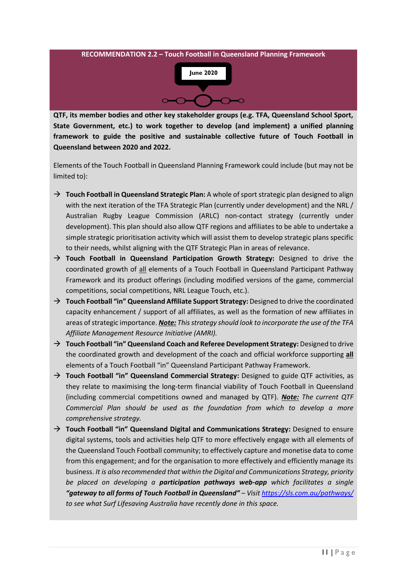

**QTF, its member bodies and other key stakeholder groups (e.g. TFA, Queensland School Sport, State Government, etc.) to work together to develop (and implement) a unified planning framework to guide the positive and sustainable collective future of Touch Football in Queensland between 2020 and 2022.** 

Elements of the Touch Football in Queensland Planning Framework could include (but may not be limited to):

- → **Touch Football in Queensland Strategic Plan:** A whole of sport strategic plan designed to align with the next iteration of the TFA Strategic Plan (currently under development) and the NRL / Australian Rugby League Commission (ARLC) non-contact strategy (currently under development). This plan should also allow QTF regions and affiliates to be able to undertake a simple strategic prioritisation activity which will assist them to develop strategic plans specific to their needs, whilst aligning with the QTF Strategic Plan in areas of relevance.
- → **Touch Football in Queensland Participation Growth Strategy:** Designed to drive the coordinated growth of all elements of a Touch Football in Queensland Participant Pathway Framework and its product offerings (including modified versions of the game, commercial competitions, social competitions, NRL League Touch, etc.).
- → **Touch Football "in" Queensland Affiliate Support Strategy:** Designed to drive the coordinated capacity enhancement / support of all affiliates, as well as the formation of new affiliates in areas of strategic importance. *Note: This strategy should look to incorporate the use of the TFA Affiliate Management Resource Initiative (AMRI).*
- → **Touch Football "in" Queensland Coach and Referee Development Strategy:** Designed to drive the coordinated growth and development of the coach and official workforce supporting **all** elements of a Touch Football "in" Queensland Participant Pathway Framework.
- → **Touch Football "in" Queensland Commercial Strategy:** Designed to guide QTF activities, as they relate to maximising the long-term financial viability of Touch Football in Queensland (including commercial competitions owned and managed by QTF). *Note: The current QTF Commercial Plan should be used as the foundation from which to develop a more comprehensive strategy.*
- → **Touch Football "in" Queensland Digital and Communications Strategy:** Designed to ensure digital systems, tools and activities help QTF to more effectively engage with all elements of the Queensland Touch Football community; to effectively capture and monetise data to come from this engagement; and for the organisation to more effectively and efficiently manage its business. *It is also recommended that within the Digital and Communications Strategy, priority be placed on developing a participation pathways web-app which facilitates a single "gateway to all forms of Touch Football in Queensland" – Visit<https://sls.com.au/pathways/> to see what Surf Lifesaving Australia have recently done in this space.*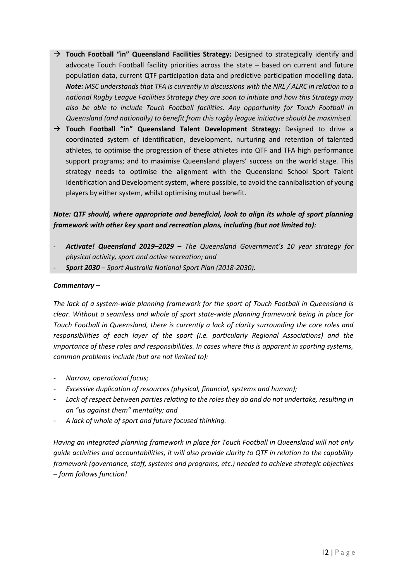- → **Touch Football "in" Queensland Facilities Strategy:** Designed to strategically identify and advocate Touch Football facility priorities across the state – based on current and future population data, current QTF participation data and predictive participation modelling data. *Note: MSC understands that TFA is currently in discussions with the NRL / ALRC in relation to a national Rugby League Facilities Strategy they are soon to initiate and how this Strategy may also be able to include Touch Football facilities. Any opportunity for Touch Football in Queensland (and nationally) to benefit from this rugby league initiative should be maximised.*
- → **Touch Football "in" Queensland Talent Development Strategy:** Designed to drive a coordinated system of identification, development, nurturing and retention of talented athletes, to optimise the progression of these athletes into QTF and TFA high performance support programs; and to maximise Queensland players' success on the world stage. This strategy needs to optimise the alignment with the Queensland School Sport Talent Identification and Development system, where possible, to avoid the cannibalisation of young players by either system, whilst optimising mutual benefit.

#### *Note: QTF should, where appropriate and beneficial, look to align its whole of sport planning framework with other key sport and recreation plans, including (but not limited to):*

- *Activate! Queensland 2019–2029 – The Queensland Government's 10 year strategy for physical activity, sport and active recreation; and*
- *Sport 2030 – Sport Australia National Sport Plan (2018-2030).*

#### *Commentary –*

*The lack of a system-wide planning framework for the sport of Touch Football in Queensland is clear. Without a seamless and whole of sport state-wide planning framework being in place for Touch Football in Queensland, there is currently a lack of clarity surrounding the core roles and responsibilities of each layer of the sport (i.e. particularly Regional Associations) and the importance of these roles and responsibilities. In cases where this is apparent in sporting systems, common problems include (but are not limited to):*

- *Narrow, operational focus;*
- *Excessive duplication of resources (physical, financial, systems and human);*
- *Lack of respect between parties relating to the roles they do and do not undertake, resulting in an "us against them" mentality; and*
- *A lack of whole of sport and future focused thinking.*

*Having an integrated planning framework in place for Touch Football in Queensland will not only guide activities and accountabilities, it will also provide clarity to QTF in relation to the capability framework (governance, staff, systems and programs, etc.) needed to achieve strategic objectives – form follows function!*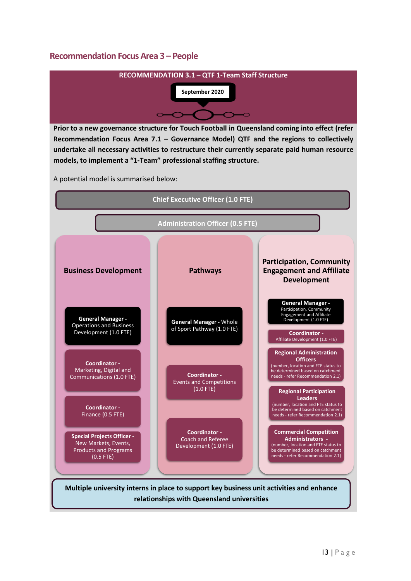#### **Recommendation Focus Area 3 – People**



**Prior to a new governance structure for Touch Football in Queensland coming into effect (refer Recommendation Focus Area 7.1 – Governance Model) QTF and the regions to collectively undertake all necessary activities to restructure their currently separate paid human resource models, to implement a "1-Team" professional staffing structure.** 

A potential model is summarised below:

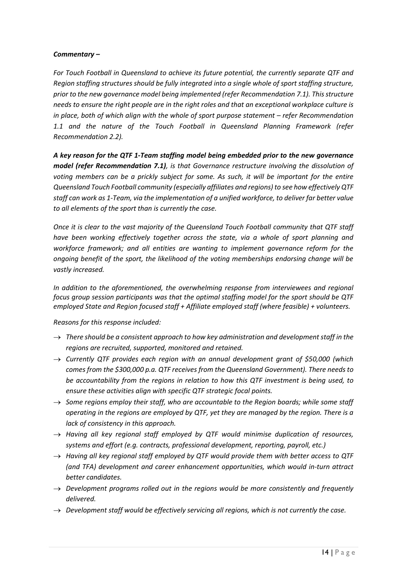#### *Commentary –*

*For Touch Football in Queensland to achieve its future potential, the currently separate QTF and Region staffing structures should be fully integrated into a single whole of sport staffing structure, prior to the new governance model being implemented (refer Recommendation 7.1). This structure needs to ensure the right people are in the right roles and that an exceptional workplace culture is in place, both of which align with the whole of sport purpose statement – refer Recommendation 1.1 and the nature of the Touch Football in Queensland Planning Framework (refer Recommendation 2.2).*

*A key reason for the QTF 1-Team staffing model being embedded prior to the new governance model (refer Recommendation 7.1), is that Governance restructure involving the dissolution of voting members can be a prickly subject for some. As such, it will be important for the entire Queensland Touch Football community (especially affiliates and regions) to see how effectively QTF staff can work as 1-Team, via the implementation of a unified workforce, to deliver far better value to all elements of the sport than is currently the case.* 

*Once it is clear to the vast majority of the Queensland Touch Football community that QTF staff have been working effectively together across the state, via a whole of sport planning and workforce framework; and all entities are wanting to implement governance reform for the ongoing benefit of the sport, the likelihood of the voting memberships endorsing change will be vastly increased.*

*In addition to the aforementioned, the overwhelming response from interviewees and regional focus group session participants was that the optimal staffing model for the sport should be QTF employed State and Region focused staff + Affiliate employed staff (where feasible) + volunteers.*

#### *Reasons for this response included:*

- $\rightarrow$  *There should be a consistent approach to how key administration and development staff in the regions are recruited, supported, monitored and retained.*
- → *Currently QTF provides each region with an annual development grant of \$50,000 (which comes from the \$300,000 p.a. QTF receives from the Queensland Government). There needs to be accountability from the regions in relation to how this QTF investment is being used, to ensure these activities align with specific QTF strategic focal points.*
- $\rightarrow$  *Some regions employ their staff, who are accountable to the Region boards; while some staff operating in the regions are employed by QTF, yet they are managed by the region. There is a lack of consistency in this approach.*
- → *Having all key regional staff employed by QTF would minimise duplication of resources, systems and effort (e.g. contracts, professional development, reporting, payroll, etc.)*
- → *Having all key regional staff employed by QTF would provide them with better access to QTF (and TFA) development and career enhancement opportunities, which would in-turn attract better candidates.*
- → *Development programs rolled out in the regions would be more consistently and frequently delivered.*
- → *Development staff would be effectively servicing all regions, which is not currently the case.*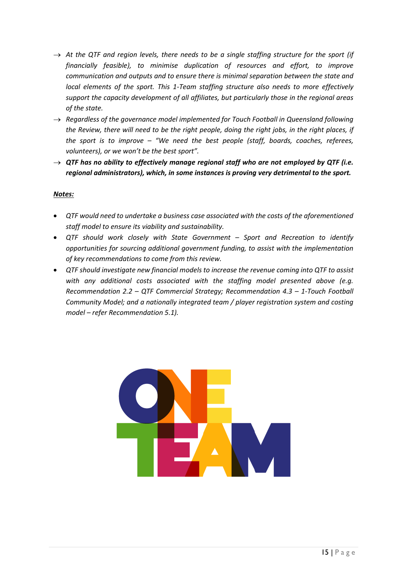- $\rightarrow$  At the QTF and region levels, there needs to be a single staffing structure for the sport (if *financially feasible), to minimise duplication of resources and effort, to improve communication and outputs and to ensure there is minimal separation between the state and local elements of the sport. This 1-Team staffing structure also needs to more effectively support the capacity development of all affiliates, but particularly those in the regional areas of the state.*
- → *Regardless of the governance model implemented for Touch Football in Queensland following the Review, there will need to be the right people, doing the right jobs, in the right places, if the sport is to improve – "We need the best people (staff, boards, coaches, referees, volunteers), or we won't be the best sport".*
- $\rightarrow$  QTF has no ability to effectively manage regional staff who are not employed by QTF (i.e. *regional administrators), which, in some instances is proving very detrimental to the sport.*

#### *Notes:*

- *QTF would need to undertake a business case associated with the costs of the aforementioned staff model to ensure its viability and sustainability.*
- *QTF should work closely with State Government – Sport and Recreation to identify opportunities for sourcing additional government funding, to assist with the implementation of key recommendations to come from this review.*
- *QTF should investigate new financial models to increase the revenue coming into QTF to assist with any additional costs associated with the staffing model presented above (e.g. Recommendation 2.2 – QTF Commercial Strategy; Recommendation 4.3 – 1-Touch Football Community Model; and a nationally integrated team / player registration system and costing model – refer Recommendation 5.1).*

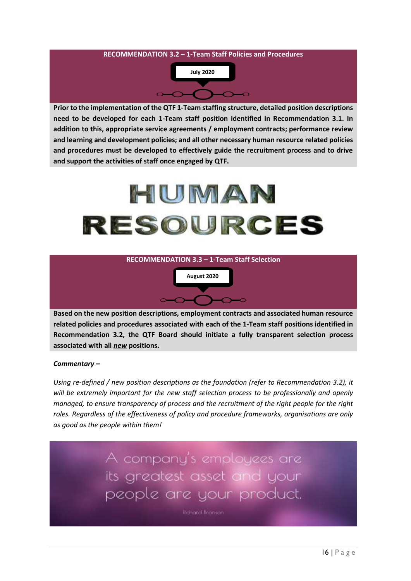

**Prior to the implementation of the QTF 1-Team staffing structure, detailed position descriptions need to be developed for each 1-Team staff position identified in Recommendation 3.1. In addition to this, appropriate service agreements / employment contracts; performance review and learning and development policies; and all other necessary human resource related policies and procedures must be developed to effectively guide the recruitment process and to drive and support the activities of staff once engaged by QTF.**

# HUMAN RESOURCES





**Based on the new position descriptions, employment contracts and associated human resource related policies and procedures associated with each of the 1-Team staff positions identified in Recommendation 3.2, the QTF Board should initiate a fully transparent selection process associated with all** *new* **positions.**

#### *Commentary –*

*Using re-defined / new position descriptions as the foundation (refer to Recommendation 3.2), it will be extremely important for the new staff selection process to be professionally and openly managed, to ensure transparency of process and the recruitment of the right people for the right roles. Regardless of the effectiveness of policy and procedure frameworks, organisations are only as good as the people within them!*

> A company's employees are its greatest asset and your people are your product.

> > **Richard Branson**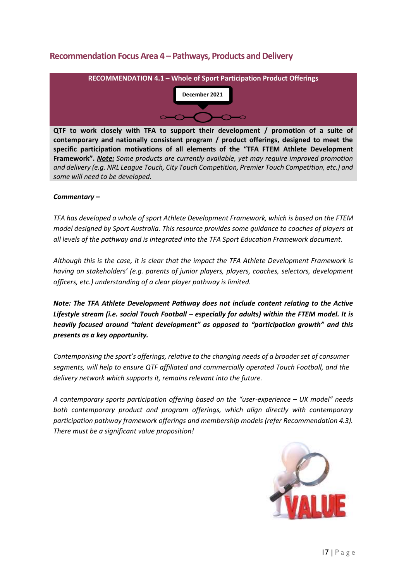#### **Recommendation Focus Area 4 – Pathways, Products and Delivery**



**QTF to work closely with TFA to support their development / promotion of a suite of contemporary and nationally consistent program / product offerings, designed to meet the specific participation motivations of all elements of the "TFA FTEM Athlete Development Framework".** *Note: Some products are currently available, yet may require improved promotion and delivery (e.g. NRL League Touch, City Touch Competition, Premier Touch Competition, etc.) and some will need to be developed.*

#### *Commentary –*

*TFA has developed a whole of sport Athlete Development Framework, which is based on the FTEM model designed by Sport Australia. This resource provides some guidance to coaches of players at all levels of the pathway and is integrated into the TFA Sport Education Framework document.* 

*Although this is the case, it is clear that the impact the TFA Athlete Development Framework is having on stakeholders' (e.g. parents of junior players, players, coaches, selectors, development officers, etc.) understanding of a clear player pathway is limited.*

*Note: The TFA Athlete Development Pathway does not include content relating to the Active Lifestyle stream (i.e. social Touch Football – especially for adults) within the FTEM model. It is heavily focused around "talent development" as opposed to "participation growth" and this presents as a key opportunity.*

*Contemporising the sport's offerings, relative to the changing needs of a broader set of consumer segments, will help to ensure QTF affiliated and commercially operated Touch Football, and the delivery network which supports it, remains relevant into the future.* 

*A contemporary sports participation offering based on the "user-experience – UX model" needs*  both contemporary product and program offerings, which align directly with contemporary *participation pathway framework offerings and membership models (refer Recommendation 4.3). There must be a significant value proposition!*

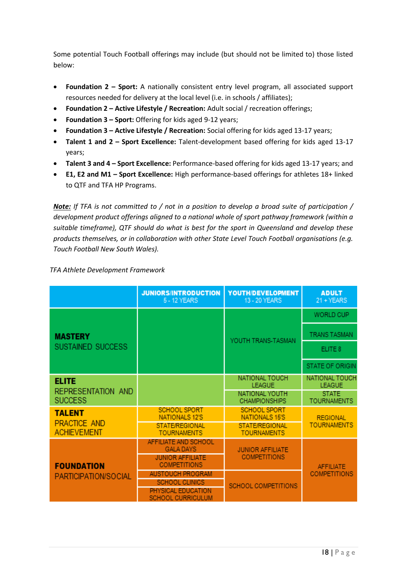Some potential Touch Football offerings may include (but should not be limited to) those listed below:

- **Foundation 2 – Sport:** A nationally consistent entry level program, all associated support resources needed for delivery at the local level (i.e. in schools / affiliates);
- **Foundation 2 – Active Lifestyle / Recreation:** Adult social / recreation offerings;
- **Foundation 3 – Sport:** Offering for kids aged 9-12 years;
- **Foundation 3 – Active Lifestyle / Recreation:** Social offering for kids aged 13-17 years;
- **Talent 1 and 2 – Sport Excellence:** Talent-development based offering for kids aged 13-17 years;
- **Talent 3 and 4 – Sport Excellence:** Performance-based offering for kids aged 13-17 years; and
- **E1, E2 and M1 – Sport Excellence:** High performance-based offerings for athletes 18+ linked to QTF and TFA HP Programs.

*Note: If TFA is not committed to / not in a position to develop a broad suite of participation / development product offerings aligned to a national whole of sport pathway framework (within a suitable timeframe), QTF should do what is best for the sport in Queensland and develop these products themselves, or in collaboration with other State Level Touch Football organisations (e.g. Touch Football New South Wales).*

|                                                            | <b>JUNIORS/INTRODUCTION</b><br>5 - 12 YEARS    | YOUTH/DEVELOPMENT<br>13 - 20 YEARS           | <b>ADULT</b><br>21 + YEARS              |
|------------------------------------------------------------|------------------------------------------------|----------------------------------------------|-----------------------------------------|
| <b>MASTERY</b><br>SUSTAINED SUCCESS                        |                                                | YOUTH TRANS-TASMAN                           | <b>WORLD CUP</b>                        |
|                                                            |                                                |                                              | TRANS TASMAN                            |
|                                                            |                                                |                                              | ELITE 8                                 |
|                                                            |                                                |                                              | <b>STATE OF ORIGIN</b>                  |
| <b>ELITE</b><br>REPRESENTATION AND<br><b>SUCCESS</b>       |                                                | NATIONAL TOUCH<br>LEAGUE                     | <b>NATIONAL TOUCH</b><br>LEAGUE         |
|                                                            |                                                | NATIONAL YOUTH<br><b>CHAMPIONSHIPS</b>       | <b>STATE</b><br><b>TOURNAMENTS</b>      |
| <b>TALENT</b><br><b>PRACTICE AND</b><br><b>ACHIEVEMENT</b> | SCHOOL SPORT<br><b>NATIONALS 12'S</b>          | <b>SCHOOL SPORT</b><br><b>NATIONALS 15'S</b> | <b>REGIONAL</b><br><b>TOURNAMENTS</b>   |
|                                                            | <b>STATE/REGIONAL</b><br><b>TOURNAMENTS</b>    | <b>STATE/REGIONAL</b><br><b>TOURNAMENTS</b>  |                                         |
| <b>FOUNDATION</b><br>PARTICIPATION/SOCIAL                  | AFFILIATE AND SCHOOL<br><b>GALA DAYS</b>       | <b>JUNIOR AFFILIATE</b>                      | <b>AFFILIATE</b><br><b>COMPETITIONS</b> |
|                                                            | <b>JUNIOR AFFILIATE</b><br><b>COMPETITIONS</b> | <b>COMPETITIONS</b>                          |                                         |
|                                                            | <b>AUSTOUCH PROGRAM</b>                        |                                              |                                         |
|                                                            | <b>SCHOOL CLINICS</b>                          | SCHOOL COMPETITIONS                          |                                         |
|                                                            | PHYSICAL EDUCATION<br>SCHOOL CURRICULUM        |                                              |                                         |

*TFA Athlete Development Framework*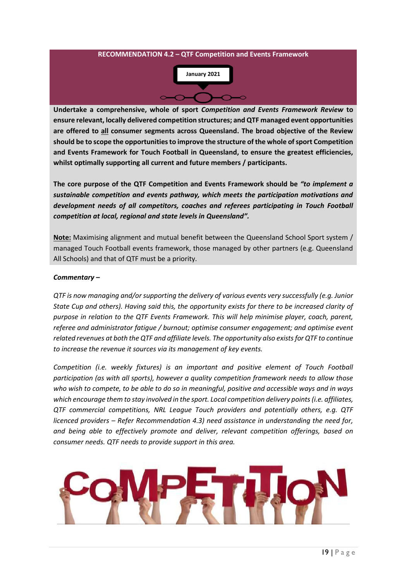

**Undertake a comprehensive, whole of sport** *Competition and Events Framework Review* **to ensure relevant, locally delivered competition structures; and QTF managed event opportunities are offered to all consumer segments across Queensland. The broad objective of the Review should be to scope the opportunities to improve the structure of the whole of sport Competition and Events Framework for Touch Football in Queensland, to ensure the greatest efficiencies, whilst optimally supporting all current and future members / participants.**

**The core purpose of the QTF Competition and Events Framework should be** *"to implement a sustainable competition and events pathway, which meets the participation motivations and development needs of all competitors, coaches and referees participating in Touch Football competition at local, regional and state levels in Queensland".*

**Note:** Maximising alignment and mutual benefit between the Queensland School Sport system / managed Touch Football events framework, those managed by other partners (e.g. Queensland All Schools) and that of QTF must be a priority.

#### *Commentary –*

*QTF is now managing and/or supporting the delivery of various events very successfully (e.g. Junior State Cup and others). Having said this, the opportunity exists for there to be increased clarity of purpose in relation to the QTF Events Framework. This will help minimise player, coach, parent, referee and administrator fatigue / burnout; optimise consumer engagement; and optimise event related revenues at both the QTF and affiliate levels. The opportunity also exists for QTF to continue to increase the revenue it sources via its management of key events.*

*Competition (i.e. weekly fixtures) is an important and positive element of Touch Football participation (as with all sports), however a quality competition framework needs to allow those who wish to compete, to be able to do so in meaningful, positive and accessible ways and in ways which encourage them to stay involved in the sport. Local competition delivery points (i.e. affiliates, QTF commercial competitions, NRL League Touch providers and potentially others, e.g. QTF licenced providers – Refer Recommendation 4.3) need assistance in understanding the need for, and being able to effectively promote and deliver, relevant competition offerings, based on consumer needs. QTF needs to provide support in this area.*

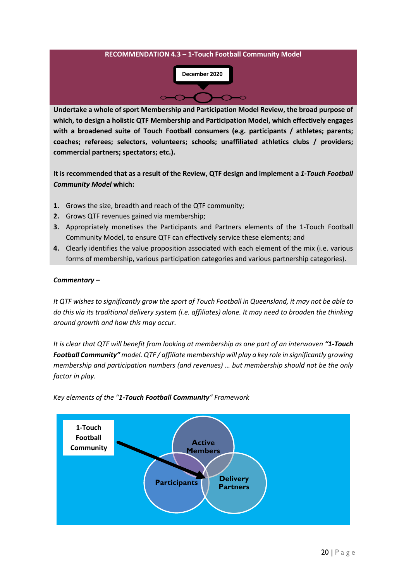

**Undertake a whole of sport Membership and Participation Model Review, the broad purpose of which, to design a holistic QTF Membership and Participation Model, which effectively engages with a broadened suite of Touch Football consumers (e.g. participants / athletes; parents; coaches; referees; selectors, volunteers; schools; unaffiliated athletics clubs / providers; commercial partners; spectators; etc.).**

**It is recommended that as a result of the Review, QTF design and implement a** *1-Touch Football Community Model* **which:**

- **1.** Grows the size, breadth and reach of the QTF community;
- **2.** Grows QTF revenues gained via membership;
- **3.** Appropriately monetises the Participants and Partners elements of the 1-Touch Football Community Model, to ensure QTF can effectively service these elements; and
- **4.** Clearly identifies the value proposition associated with each element of the mix (i.e. various forms of membership, various participation categories and various partnership categories).

#### *Commentary –*

*It QTF wishes to significantly grow the sport of Touch Football in Queensland, it may not be able to do this via its traditional delivery system (i.e. affiliates) alone. It may need to broaden the thinking around growth and how this may occur.* 

*It is clear that QTF will benefit from looking at membership as one part of an interwoven "1-Touch Football Community" model. QTF / affiliate membership will play a key role in significantly growing membership and participation numbers (and revenues) … but membership should not be the only factor in play.* 



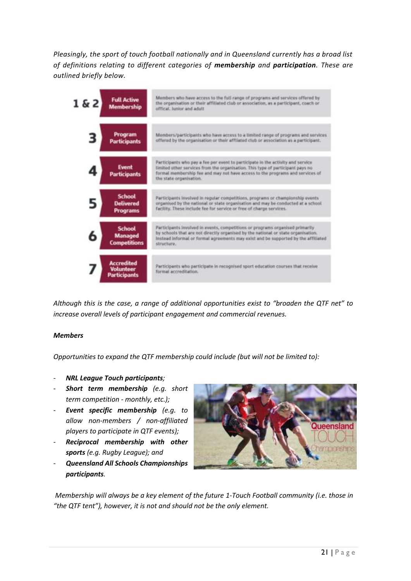*Pleasingly, the sport of touch football nationally and in Queensland currently has a broad list of definitions relating to different categories of membership and participation. These are outlined briefly below.*



*Although this is the case, a range of additional opportunities exist to "broaden the QTF net" to increase overall levels of participant engagement and commercial revenues.*

#### *Members*

*Opportunities to expand the QTF membership could include (but will not be limited to):*

- *NRL League Touch participants;*
- *Short term membership (e.g. short term competition - monthly, etc.);*
- *Event specific membership (e.g. to allow non-members / non-affiliated players to participate in QTF events);*
- *Reciprocal membership with other sports (e.g. Rugby League); and*
- *Queensland All Schools Championships participants.*



*Membership will always be a key element of the future 1-Touch Football community (i.e. those in "the QTF tent"), however, it is not and should not be the only element.*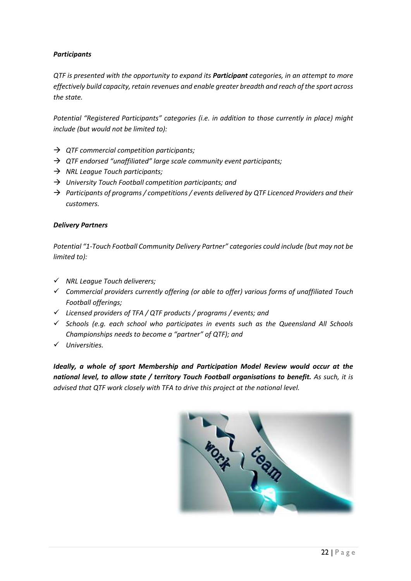#### *Participants*

*QTF is presented with the opportunity to expand its Participant categories, in an attempt to more effectively build capacity, retain revenues and enable greater breadth and reach of the sport across the state.* 

*Potential "Registered Participants" categories (i.e. in addition to those currently in place) might include (but would not be limited to):*

- → *QTF commercial competition participants;*
- → *QTF endorsed "unaffiliated" large scale community event participants;*
- → *NRL League Touch participants;*
- → *University Touch Football competition participants; and*
- → *Participants of programs / competitions / events delivered by QTF Licenced Providers and their customers.*

#### *Delivery Partners*

*Potential "1-Touch Football Community Delivery Partner" categories could include (but may not be limited to):*

- ✓ *NRL League Touch deliverers;*
- ✓ *Commercial providers currently offering (or able to offer) various forms of unaffiliated Touch Football offerings;*
- ✓ *Licensed providers of TFA / QTF products / programs / events; and*
- ✓ *Schools (e.g. each school who participates in events such as the Queensland All Schools Championships needs to become a "partner" of QTF); and*
- ✓ *Universities.*

*Ideally, a whole of sport Membership and Participation Model Review would occur at the national level, to allow state / territory Touch Football organisations to benefit. As such, it is advised that QTF work closely with TFA to drive this project at the national level.* 

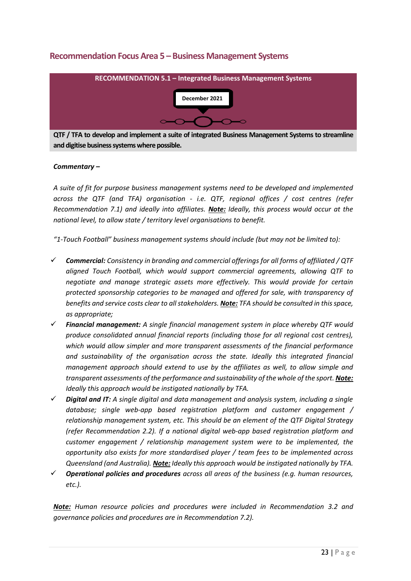#### **Recommendation Focus Area 5 – Business Management Systems**



**QTF / TFA to develop and implement a suite of integrated Business Management Systems to streamline and digitise business systems where possible.**

#### *Commentary –*

*A suite of fit for purpose business management systems need to be developed and implemented across the QTF (and TFA) organisation - i.e. QTF, regional offices / cost centres (refer Recommendation 7.1) and ideally into affiliates. Note: Ideally, this process would occur at the national level, to allow state / territory level organisations to benefit.* 

*"1-Touch Football" business management systems should include (but may not be limited to):*

- ✓ *Commercial: Consistency in branding and commercial offerings for all forms of affiliated / QTF aligned Touch Football, which would support commercial agreements, allowing QTF to negotiate and manage strategic assets more effectively. This would provide for certain protected sponsorship categories to be managed and offered for sale, with transparency of benefits and service costs clear to all stakeholders. Note: TFA should be consulted in this space, as appropriate;*
- ✓ *Financial management: A single financial management system in place whereby QTF would produce consolidated annual financial reports (including those for all regional cost centres), which would allow simpler and more transparent assessments of the financial performance and sustainability of the organisation across the state. Ideally this integrated financial management approach should extend to use by the affiliates as well, to allow simple and transparent assessments of the performance and sustainability of the whole of the sport. Note: Ideally this approach would be instigated nationally by TFA.*
- ✓ *Digital and IT: A single digital and data management and analysis system, including a single database; single web-app based registration platform and customer engagement / relationship management system, etc. This should be an element of the QTF Digital Strategy (refer Recommendation 2.2). If a national digital web-app based registration platform and customer engagement / relationship management system were to be implemented, the opportunity also exists for more standardised player / team fees to be implemented across Queensland (and Australia). Note: Ideally this approach would be instigated nationally by TFA.*
- ✓ *Operational policies and procedures across all areas of the business (e.g. human resources, etc.).*

*Note: Human resource policies and procedures were included in Recommendation 3.2 and governance policies and procedures are in Recommendation 7.2).*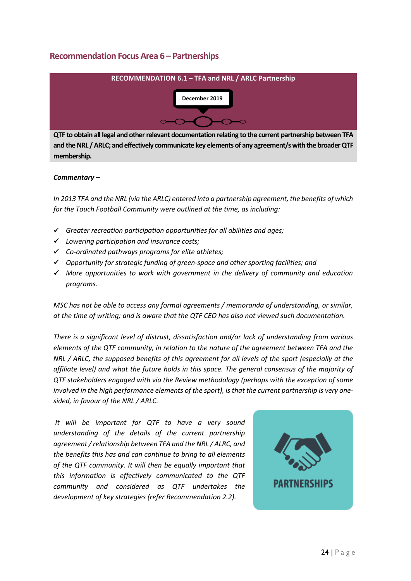#### **Recommendation Focus Area 6 – Partnerships**



**QTF to obtain all legal and other relevant documentation relating to the current partnership between TFA and the NRL / ARLC; and effectively communicate key elements of any agreement/s with the broader QTF membership.**

#### *Commentary –*

*In 2013 TFA and the NRL (via the ARLC) entered into a partnership agreement, the benefits of which for the Touch Football Community were outlined at the time, as including:*

- ✓ *Greater recreation participation opportunities for all abilities and ages;*
- ✓ *Lowering participation and insurance costs;*
- ✓ *Co-ordinated pathways programs for elite athletes;*
- ✓ *Opportunity for strategic funding of green-space and other sporting facilities; and*
- ✓ *More opportunities to work with government in the delivery of community and education programs.*

*MSC has not be able to access any formal agreements / memoranda of understanding, or similar, at the time of writing; and is aware that the QTF CEO has also not viewed such documentation.* 

*There is a significant level of distrust, dissatisfaction and/or lack of understanding from various elements of the QTF community, in relation to the nature of the agreement between TFA and the NRL / ARLC, the supposed benefits of this agreement for all levels of the sport (especially at the affiliate level) and what the future holds in this space. The general consensus of the majority of QTF stakeholders engaged with via the Review methodology (perhaps with the exception of some involved in the high performance elements of the sport), is that the current partnership is very onesided, in favour of the NRL / ARLC.*

*It will be important for QTF to have a very sound understanding of the details of the current partnership agreement / relationship between TFA and the NRL / ALRC, and the benefits this has and can continue to bring to all elements of the QTF community. It will then be equally important that this information is effectively communicated to the QTF community and considered as QTF undertakes the development of key strategies (refer Recommendation 2.2).*

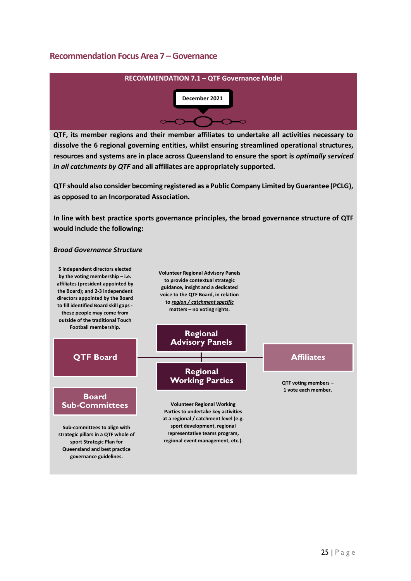#### **Recommendation Focus Area 7 –Governance**



**QTF, its member regions and their member affiliates to undertake all activities necessary to dissolve the 6 regional governing entities, whilst ensuring streamlined operational structures, resources and systems are in place across Queensland to ensure the sport is** *optimally serviced in all catchments by QTF* **and all affiliates are appropriately supported.**

**QTF should also consider becoming registered as a Public Company Limited by Guarantee (PCLG), as opposed to an Incorporated Association.**

**In line with best practice sports governance principles, the broad governance structure of QTF would include the following:**

#### *Broad Governance Structure*

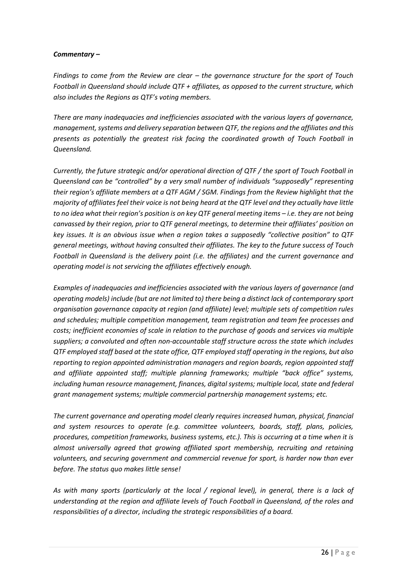#### *Commentary –*

*Findings to come from the Review are clear – the governance structure for the sport of Touch Football in Queensland should include QTF + affiliates, as opposed to the current structure, which also includes the Regions as QTF's voting members.* 

*There are many inadequacies and inefficiencies associated with the various layers of governance, management, systems and delivery separation between QTF, the regions and the affiliates and this presents as potentially the greatest risk facing the coordinated growth of Touch Football in Queensland.*

*Currently, the future strategic and/or operational direction of QTF / the sport of Touch Football in Queensland can be "controlled" by a very small number of individuals "supposedly" representing their region's affiliate members at a QTF AGM / SGM. Findings from the Review highlight that the majority of affiliates feel their voice is not being heard at the QTF level and they actually have little to no idea what their region's position is on key QTF general meeting items – i.e. they are not being canvassed by their region, prior to QTF general meetings, to determine their affiliates' position on key issues. It is an obvious issue when a region takes a supposedly "collective position" to QTF general meetings, without having consulted their affiliates. The key to the future success of Touch Football in Queensland is the delivery point (i.e. the affiliates) and the current governance and operating model is not servicing the affiliates effectively enough.*

*Examples of inadequacies and inefficiencies associated with the various layers of governance (and operating models) include (but are not limited to) there being a distinct lack of contemporary sport organisation governance capacity at region (and affiliate) level; multiple sets of competition rules and schedules; multiple competition management, team registration and team fee processes and costs; inefficient economies of scale in relation to the purchase of goods and services via multiple suppliers; a convoluted and often non-accountable staff structure across the state which includes QTF employed staff based at the state office, QTF employed staff operating in the regions, but also reporting to region appointed administration managers and region boards, region appointed staff and affiliate appointed staff; multiple planning frameworks; multiple "back office" systems, including human resource management, finances, digital systems; multiple local, state and federal grant management systems; multiple commercial partnership management systems; etc.*

*The current governance and operating model clearly requires increased human, physical, financial and system resources to operate (e.g. committee volunteers, boards, staff, plans, policies, procedures, competition frameworks, business systems, etc.). This is occurring at a time when it is almost universally agreed that growing affiliated sport membership, recruiting and retaining volunteers, and securing government and commercial revenue for sport, is harder now than ever before. The status quo makes little sense!* 

*As with many sports (particularly at the local / regional level), in general, there is a lack of understanding at the region and affiliate levels of Touch Football in Queensland, of the roles and responsibilities of a director, including the strategic responsibilities of a board.*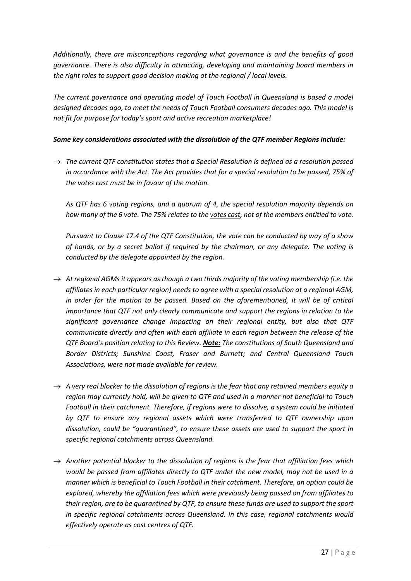*Additionally, there are misconceptions regarding what governance is and the benefits of good governance. There is also difficulty in attracting, developing and maintaining board members in the right roles to support good decision making at the regional / local levels.*

*The current governance and operating model of Touch Football in Queensland is based a model designed decades ago, to meet the needs of Touch Football consumers decades ago. This model is not fit for purpose for today's sport and active recreation marketplace!*

#### *Some key considerations associated with the dissolution of the QTF member Regions include:*

→ *The current QTF constitution states that a Special Resolution is defined as a resolution passed in accordance with the Act. The Act provides that for a special resolution to be passed, 75% of the votes cast must be in favour of the motion.* 

*As QTF has 6 voting regions, and a quorum of 4, the special resolution majority depends on how many of the 6 vote. The 75% relates to the votes cast, not of the members entitled to vote.* 

*Pursuant to Clause 17.4 of the QTF Constitution, the vote can be conducted by way of a show of hands, or by a secret ballot if required by the chairman, or any delegate. The voting is conducted by the delegate appointed by the region.* 

- → *At regional AGMs it appears as though a two thirds majority of the voting membership (i.e. the affiliates in each particular region) needs to agree with a special resolution at a regional AGM, in order for the motion to be passed. Based on the aforementioned, it will be of critical importance that QTF not only clearly communicate and support the regions in relation to the significant governance change impacting on their regional entity, but also that QTF communicate directly and often with each affiliate in each region between the release of the QTF Board's position relating to this Review. Note: The constitutions of South Queensland and Border Districts; Sunshine Coast, Fraser and Burnett; and Central Queensland Touch Associations, were not made available for review.*
- $\rightarrow$  A very real blocker to the dissolution of regions is the fear that any retained members equity a *region may currently hold, will be given to QTF and used in a manner not beneficial to Touch Football in their catchment. Therefore, if regions were to dissolve, a system could be initiated by QTF to ensure any regional assets which were transferred to QTF ownership upon dissolution, could be "quarantined", to ensure these assets are used to support the sport in specific regional catchments across Queensland.*
- → *Another potential blocker to the dissolution of regions is the fear that affiliation fees which would be passed from affiliates directly to QTF under the new model, may not be used in a manner which is beneficial to Touch Football in their catchment. Therefore, an option could be explored, whereby the affiliation fees which were previously being passed on from affiliates to their region, are to be quarantined by QTF, to ensure these funds are used to support the sport in specific regional catchments across Queensland. In this case, regional catchments would effectively operate as cost centres of QTF.*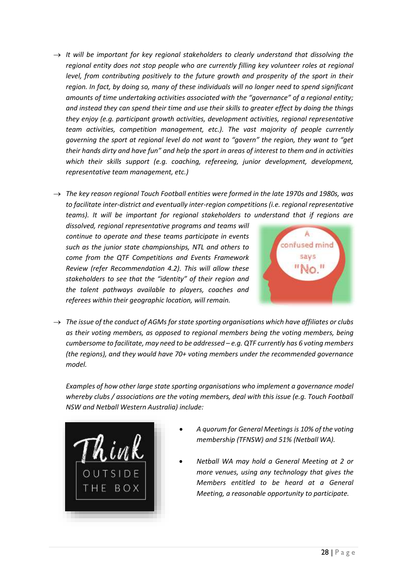- $\rightarrow$  *It will be important for key regional stakeholders to clearly understand that dissolving the regional entity does not stop people who are currently filling key volunteer roles at regional level, from contributing positively to the future growth and prosperity of the sport in their region. In fact, by doing so, many of these individuals will no longer need to spend significant amounts of time undertaking activities associated with the "governance" of a regional entity; and instead they can spend their time and use their skills to greater effect by doing the things they enjoy (e.g. participant growth activities, development activities, regional representative team activities, competition management, etc.). The vast majority of people currently governing the sport at regional level do not want to "govern" the region, they want to "get their hands dirty and have fun" and help the sport in areas of interest to them and in activities which their skills support (e.g. coaching, refereeing, junior development, development, representative team management, etc.)*
- → *The key reason regional Touch Football entities were formed in the late 1970s and 1980s, was to facilitate inter-district and eventually inter-region competitions (i.e. regional representative teams). It will be important for regional stakeholders to understand that if regions are*

*dissolved, regional representative programs and teams will continue to operate and these teams participate in events such as the junior state championships, NTL and others to come from the QTF Competitions and Events Framework Review (refer Recommendation 4.2). This will allow these stakeholders to see that the "identity" of their region and the talent pathways available to players, coaches and referees within their geographic location, will remain.*



→ *The issue of the conduct of AGMs for state sporting organisations which have affiliates or clubs as their voting members, as opposed to regional members being the voting members, being cumbersome to facilitate, may need to be addressed – e.g. QTF currently has 6 voting members (the regions), and they would have 70+ voting members under the recommended governance model.*

*Examples of how other large state sporting organisations who implement a governance model whereby clubs / associations are the voting members, deal with this issue (e.g. Touch Football NSW and Netball Western Australia) include:*



- *A quorum for General Meetings is 10% of the voting membership (TFNSW) and 51% (Netball WA).*
- *Netball WA may hold a General Meeting at 2 or more venues, using any technology that gives the Members entitled to be heard at a General Meeting, a reasonable opportunity to participate.*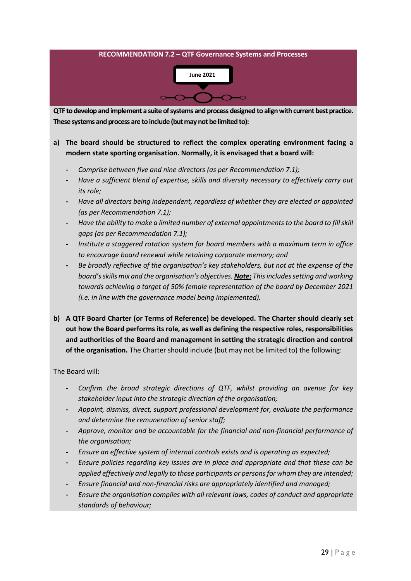

#### **a) The board should be structured to reflect the complex operating environment facing a modern state sporting organisation. Normally, it is envisaged that a board will:**

- **-** *Comprise between five and nine directors (as per Recommendation 7.1);*
- **-** *Have a sufficient blend of expertise, skills and diversity necessary to effectively carry out its role;*
- **-** *Have all directors being independent, regardless of whether they are elected or appointed (as per Recommendation 7.1);*
- **-** *Have the ability to make a limited number of external appointments to the board to fill skill gaps (as per Recommendation 7.1);*
- **-** *Institute a staggered rotation system for board members with a maximum term in office to encourage board renewal while retaining corporate memory; and*
- **-** *Be broadly reflective of the organisation's key stakeholders, but not at the expense of the board's skills mix and the organisation's objectives. Note: This includes setting and working towards achieving a target of 50% female representation of the board by December 2021 (i.e. in line with the governance model being implemented).*
- **b) A QTF Board Charter (or Terms of Reference) be developed. The Charter should clearly set out how the Board performs its role, as well as defining the respective roles, responsibilities and authorities of the Board and management in setting the strategic direction and control of the organisation.** The Charter should include (but may not be limited to) the following:

The Board will:

- **-** *Confirm the broad strategic directions of QTF, whilst providing an avenue for key stakeholder input into the strategic direction of the organisation;*
- **-** *Appoint, dismiss, direct, support professional development for, evaluate the performance and determine the remuneration of senior staff;*
- **-** *Approve, monitor and be accountable for the financial and non-financial performance of the organisation;*
- **-** *Ensure an effective system of internal controls exists and is operating as expected;*
- **-** *Ensure policies regarding key issues are in place and appropriate and that these can be applied effectively and legally to those participants or persons for whom they are intended;*
- **-** *Ensure financial and non-financial risks are appropriately identified and managed;*
- **-** *Ensure the organisation complies with all relevant laws, codes of conduct and appropriate standards of behaviour;*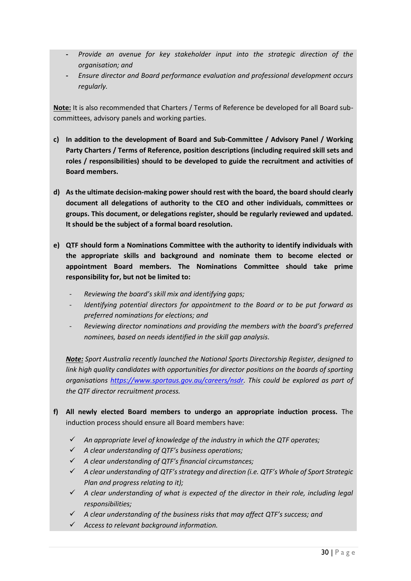- **-** *Provide an avenue for key stakeholder input into the strategic direction of the organisation; and*
- **-** *Ensure director and Board performance evaluation and professional development occurs regularly.*

**Note:** It is also recommended that Charters / Terms of Reference be developed for all Board subcommittees, advisory panels and working parties.

- **c) In addition to the development of Board and Sub-Committee / Advisory Panel / Working Party Charters / Terms of Reference, position descriptions (including required skill sets and roles / responsibilities) should to be developed to guide the recruitment and activities of Board members.**
- **d) As the ultimate decision-making power should rest with the board, the board should clearly document all delegations of authority to the CEO and other individuals, committees or groups. This document, or delegations register, should be regularly reviewed and updated. It should be the subject of a formal board resolution.**
- **e) QTF should form a Nominations Committee with the authority to identify individuals with the appropriate skills and background and nominate them to become elected or appointment Board members. The Nominations Committee should take prime responsibility for, but not be limited to:** 
	- *Reviewing the board's skill mix and identifying gaps;*
	- *Identifying potential directors for appointment to the Board or to be put forward as preferred nominations for elections; and*
	- *Reviewing director nominations and providing the members with the board's preferred nominees, based on needs identified in the skill gap analysis.*

*Note: Sport Australia recently launched the National Sports Directorship Register, designed to*  link high quality candidates with opportunities for director positions on the boards of sporting *organisations [https://www.sportaus.gov.au/careers/nsdr.](https://www.sportaus.gov.au/careers/nsdr) This could be explored as part of the QTF director recruitment process.*

- **f) All newly elected Board members to undergo an appropriate induction process.** The induction process should ensure all Board members have:
	- ✓ *An appropriate level of knowledge of the industry in which the QTF operates;*
	- ✓ *A clear understanding of QTF's business operations;*
	- ✓ *A clear understanding of QTF's financial circumstances;*
	- ✓ *A clear understanding of QTF's strategy and direction (i.e. QTF's Whole of Sport Strategic Plan and progress relating to it);*
	- ✓ *A clear understanding of what is expected of the director in their role, including legal responsibilities;*
	- ✓ *A clear understanding of the business risks that may affect QTF's success; and*
	- ✓ *Access to relevant background information.*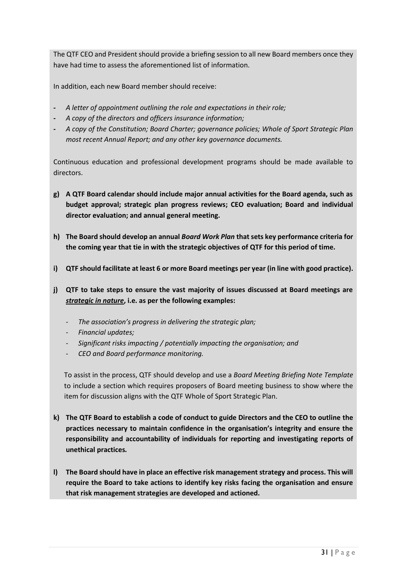The QTF CEO and President should provide a briefing session to all new Board members once they have had time to assess the aforementioned list of information.

In addition, each new Board member should receive:

- **-** *A letter of appointment outlining the role and expectations in their role;*
- **-** *A copy of the directors and officers insurance information;*
- **-** *A copy of the Constitution; Board Charter; governance policies; Whole of Sport Strategic Plan most recent Annual Report; and any other key governance documents.*

Continuous education and professional development programs should be made available to directors.

- **g) A QTF Board calendar should include major annual activities for the Board agenda, such as budget approval; strategic plan progress reviews; CEO evaluation; Board and individual director evaluation; and annual general meeting.**
- **h) The Board should develop an annual** *Board Work Plan* **that sets key performance criteria for the coming year that tie in with the strategic objectives of QTF for this period of time.**
- **i) QTF should facilitate at least 6 or more Board meetings per year (in line with good practice).**
- **j) QTF to take steps to ensure the vast majority of issues discussed at Board meetings are**  *strategic in nature***, i.e. as per the following examples:**
	- *The association's progress in delivering the strategic plan;*
	- *Financial updates;*
	- *Significant risks impacting / potentially impacting the organisation; and*
	- *CEO and Board performance monitoring.*

To assist in the process, QTF should develop and use a *Board Meeting Briefing Note Template* to include a section which requires proposers of Board meeting business to show where the item for discussion aligns with the QTF Whole of Sport Strategic Plan.

- **k) The QTF Board to establish a code of conduct to guide Directors and the CEO to outline the practices necessary to maintain confidence in the organisation's integrity and ensure the responsibility and accountability of individuals for reporting and investigating reports of unethical practices***.*
- **l) The Board should have in place an effective risk management strategy and process. This will require the Board to take actions to identify key risks facing the organisation and ensure that risk management strategies are developed and actioned.**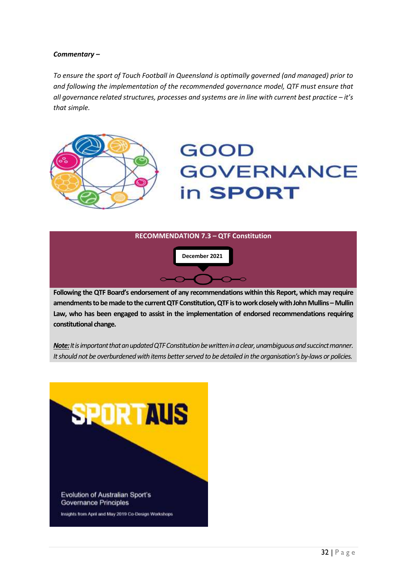#### *Commentary –*

*To ensure the sport of Touch Football in Queensland is optimally governed (and managed) prior to and following the implementation of the recommended governance model, QTF must ensure that all governance related structures, processes and systems are in line with current best practice – it's that simple.*



### **GOOD GOVERNANCE** in **SPORT**



**Following the QTF Board's endorsement of any recommendations within this Report, which may require amendments to be made to the current QTF Constitution, QTF is to work closely with John Mullins –Mullin Law, who has been engaged to assist in the implementation of endorsed recommendations requiring constitutional change.**

*Note:It isimportant that an updated QTF Constitution be written in a clear, unambiguous and succinct manner. It should not be overburdened with items better served to be detailed in the organisation's by-laws or policies.*

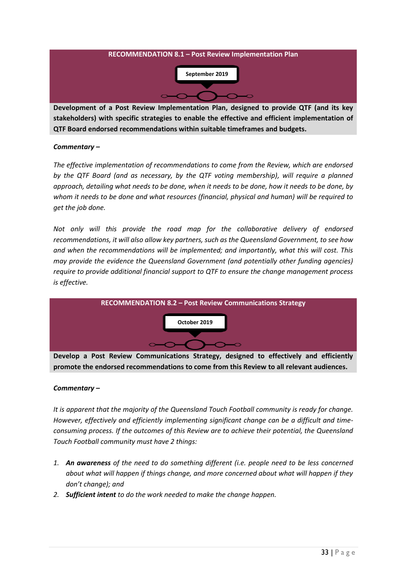

**Development of a Post Review Implementation Plan, designed to provide QTF (and its key stakeholders) with specific strategies to enable the effective and efficient implementation of QTF Board endorsed recommendations within suitable timeframes and budgets.**

#### *Commentary –*

*The effective implementation of recommendations to come from the Review, which are endorsed*  by the QTF Board (and as necessary, by the QTF voting membership), will require a planned *approach, detailing what needs to be done, when it needs to be done, how it needs to be done, by whom it needs to be done and what resources (financial, physical and human) will be required to get the job done.*

*Not only will this provide the road map for the collaborative delivery of endorsed recommendations, it will also allow key partners, such as the Queensland Government, to see how and when the recommendations will be implemented; and importantly, what this will cost. This may provide the evidence the Queensland Government (and potentially other funding agencies) require to provide additional financial support to QTF to ensure the change management process is effective.*



**Develop a Post Review Communications Strategy, designed to effectively and efficiently promote the endorsed recommendations to come from this Review to all relevant audiences.**

#### *Commentary –*

*It is apparent that the majority of the Queensland Touch Football community is ready for change. However, effectively and efficiently implementing significant change can be a difficult and timeconsuming process. If the outcomes of this Review are to achieve their potential, the Queensland Touch Football community must have 2 things:*

- *1. An awareness of the need to do something different (i.e. people need to be less concerned about what will happen if things change, and more concerned about what will happen if they don't change); and*
- *2. Sufficient intent to do the work needed to make the change happen.*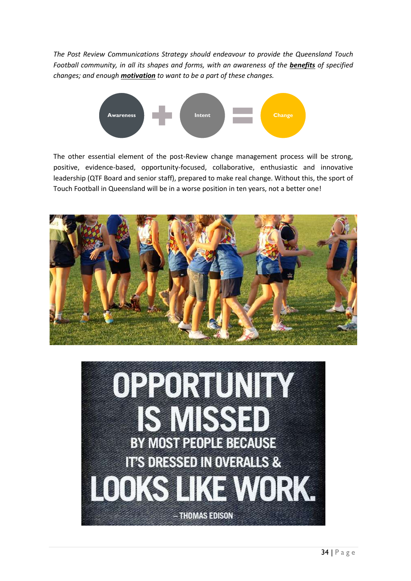*The Post Review Communications Strategy should endeavour to provide the Queensland Touch Football community, in all its shapes and forms, with an awareness of the benefits of specified changes; and enough motivation to want to be a part of these changes.*



The other essential element of the post-Review change management process will be strong, positive, evidence-based, opportunity-focused, collaborative, enthusiastic and innovative leadership (QTF Board and senior staff), prepared to make real change. Without this, the sport of Touch Football in Queensland will be in a worse position in ten years, not a better one!